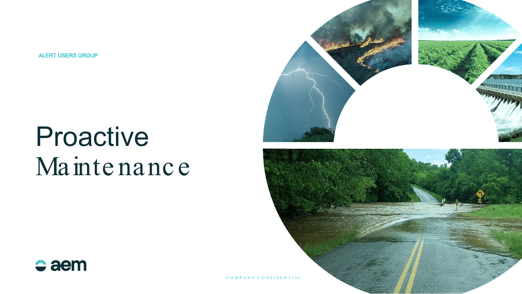**ALERT USERS GROUP** 

# Proactive Maintenance



 $\div$  aem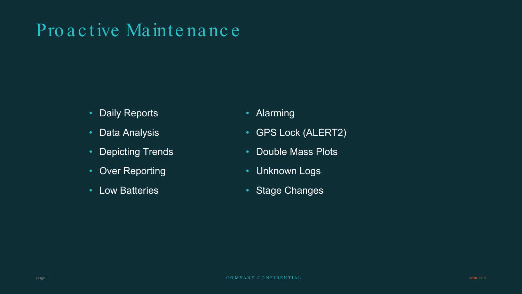### Pro active Maintenance

- **Daily Reports**  $\bullet$
- **Data Analysis**  $\bullet$
- **Depicting Trends**
- **Over Reporting**  $\bullet$
- **Low Batteries**
- Alarming
- **GPS Lock (ALERT2)**
- **Double Mass Plots**
- **Unknown Logs**
- Stage Changes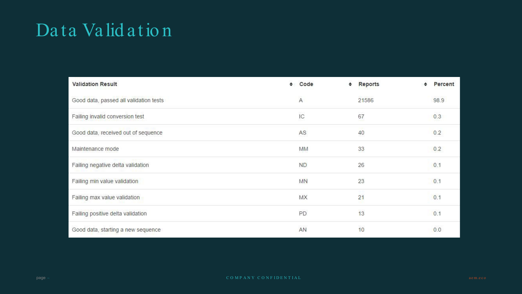### Data Validation

| <b>Validation Result</b>               | ٠ | Code<br>٠      | Reports | Percent |
|----------------------------------------|---|----------------|---------|---------|
| Good data, passed all validation tests |   | $\overline{A}$ | 21586   | 98.9    |
| Failing invalid conversion test        |   | IC             | 67      | 0.3     |
| Good data, received out of sequence    |   | AS.            | 40      | 0.2     |
| Maintenance mode                       |   | MM             | 33      | 0.2     |
| Failing negative delta validation      |   | <b>ND</b>      | 26      | 0.1     |
| Failing min value validation           |   | <b>MN</b>      | 23      | 0.1     |
| Failing max value validation           |   | MX             | 21      | 0.1     |
| Failing positive delta validation      |   | PD             | 13      | 0.1     |
| Good data, starting a new sequence     |   | AN             | 10      | 0.0     |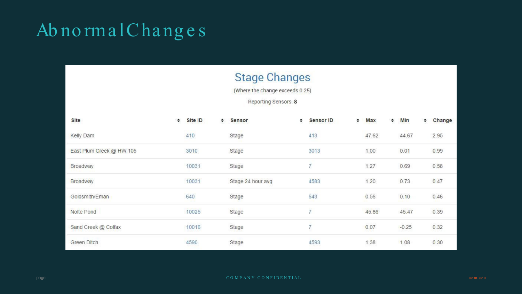### AbnormalChanges

#### **Stage Changes**

(Where the change exceeds 0.25)

Reporting Sensors: 8

| Site                     | Site ID<br>٠ | ٠ | Sensor            | ÷ | <b>Sensor ID</b> | ٠ | Max             | ٠ | Min     | ٠ | Change |
|--------------------------|--------------|---|-------------------|---|------------------|---|-----------------|---|---------|---|--------|
| Kelly Dam                | 410          |   | Stage             |   | 413              |   | 47.62           |   | 44.67   |   | 2.95   |
| East Plum Creek @ HW 105 | 3010         |   | Stage             |   | 3013             |   | 1.00            |   | 0.01    |   | 0.99   |
| Broadway                 | 10031        |   | Stage             |   | 7                |   | 1.27            |   | 0.69    |   | 0.58   |
| Broadway                 | 10031        |   | Stage 24 hour avg |   | 4583             |   | 1.20            |   | 0.73    |   | 0.47   |
| Goldsmith/Eman           | 640          |   | Stage             |   | 643              |   | 0.56            |   | 0.10    |   | 0.46   |
| Nolte Pond               | 10025        |   | Stage             |   | $\overline{7}$   |   | 45.86           |   | 45.47   |   | 0.39   |
| Sand Creek @ Colfax      | 10016        |   | Stage             |   | $\overline{7}$   |   | 103-020<br>0.07 |   | $-0.25$ |   | 0.32   |
| Green Ditch              | 4590         |   | Stage             |   | 4593             |   | 1.38            |   | 1.08    |   | 0.30   |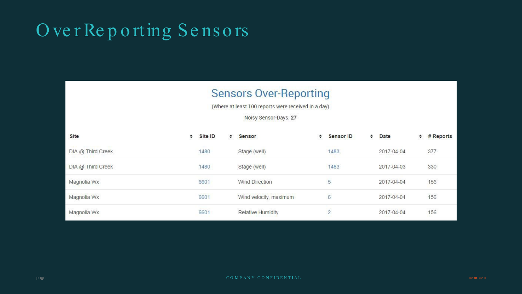### OverReporting Sensors

#### **Sensors Over-Reporting**

(Where at least 100 reports were received in a day)

Noisy Sensor-Days: 27

| Site              | ٠ | Site ID                  | ٠ | <b>Sensor</b>          | ٠ | <b>Sensor ID</b> | ÷ | Date       | ÷ | # Reports |
|-------------------|---|--------------------------|---|------------------------|---|------------------|---|------------|---|-----------|
| DIA @ Third Creek |   | <b>STATISTIC</b><br>1480 |   | Stage (well)           |   | 1483             |   | 2017-04-04 |   | 377       |
| DIA @ Third Creek |   | 1480                     |   | Stage (well)           |   | 1483             |   | 2017-04-03 |   | 330       |
| Magnolia Wx       |   | 6601                     |   | <b>Wind Direction</b>  |   | 5                |   | 2017-04-04 |   | 156       |
| Magnolia Wx       |   | 6601                     |   | Wind velocity, maximum |   | 6                |   | 2017-04-04 |   | 156       |
| Magnolia Wx       |   | <b>ATOMASICA</b><br>6601 |   | Relative Humidity      |   | $\overline{2}$   |   | 2017-04-04 |   | 156       |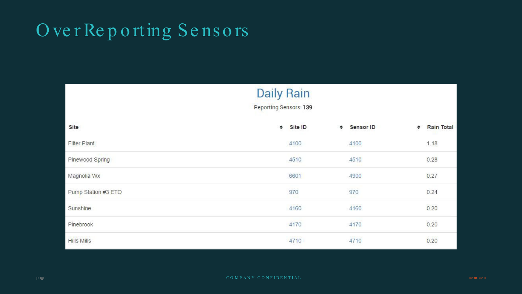### OverReporting Sensors

|                     | <b>Daily Rain</b><br><b>Reporting Sensors: 139</b> |                      |                        |
|---------------------|----------------------------------------------------|----------------------|------------------------|
| Site                | Site ID<br>$\Rightarrow$                           | Sensor ID<br>÷       | <b>Rain Total</b><br>٠ |
| <b>Filter Plant</b> | 4100                                               | 4100                 | 1.18                   |
| Pinewood Spring     | 4510                                               | 4510                 | 0.28                   |
| Magnolia Wx         | 6601                                               | 4900                 | 0.27                   |
| Pump Station #3 ETO | 970                                                | 970                  | 0.24                   |
| Sunshine            | manaur<br>4160                                     | 4160                 | 0.20                   |
| Pinebrook           | 4170                                               | 4170                 | 0.20                   |
| <b>Hills Mills</b>  | 4710                                               | <b>KANSA</b><br>4710 | 0.20                   |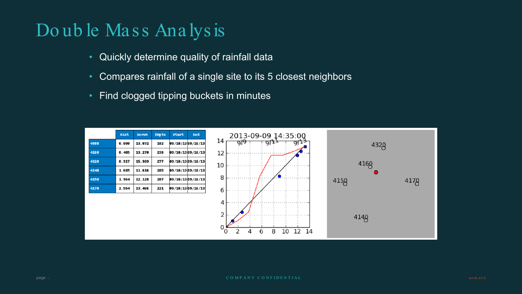### Double Mass Analysis

- Quickly determine quality of rainfall data
- Compares rainfall of a single site to its 5 closest neighbors
- Find clogged tipping buckets in minutes  $\bullet$

|      | Dist  | Accum  | #Rpts | <b>Start</b>      | End |
|------|-------|--------|-------|-------------------|-----|
| 4880 | 0.000 | 13.072 | 182   | 09/10/13 09/16/13 |     |
| 4160 | 0.405 | 13.270 | 238   | 09/10/13 09/16/13 |     |
| 4320 | 0.917 | 15.909 | 277   | 09/10/13 09/16/13 |     |
| 4140 | 1.685 | 11.616 | 205   | 09/10/13 09/16/13 |     |
| 4150 | 1.964 | 12.128 | 207   | 09/10/13 09/16/13 |     |
| 4170 | 2.554 | 13.466 | 221   | 09/10/1309/16/13  |     |

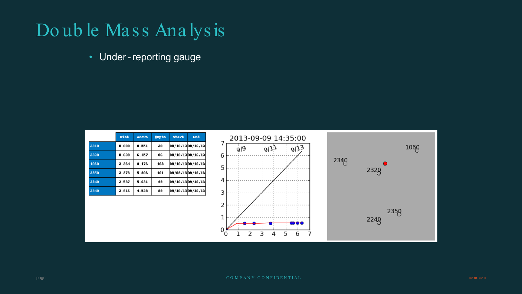### Double Mass Analysis

• Under-reporting gauge

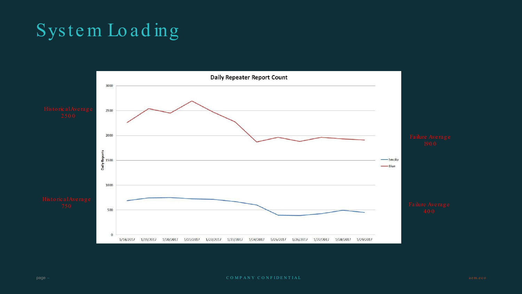### System Loading